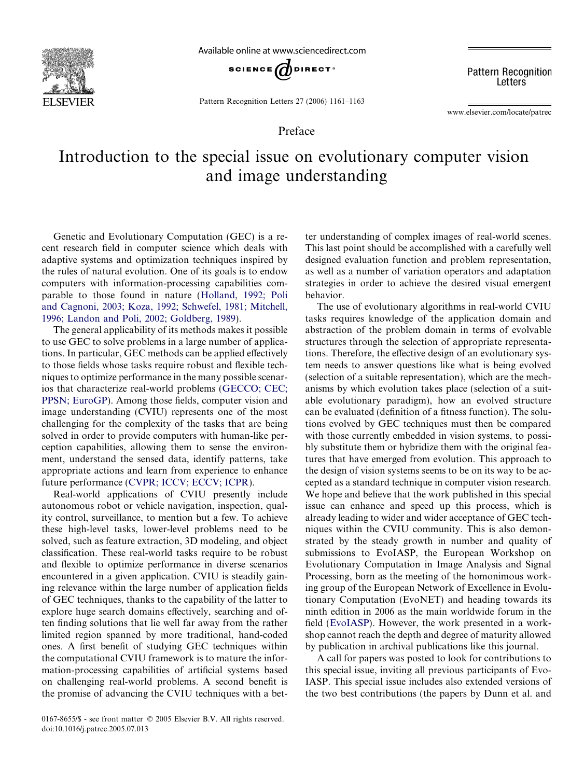

Available online at www.sciencedirect.com



Pattern Recognition Letters 27 (2006) 1161–1163

**Pattern Recognition** Letters

www.elsevier.com/locate/patrec

# Preface

# Introduction to the special issue on evolutionary computer vision and image understanding

Genetic and Evolutionary Computation (GEC) is a recent research field in computer science which deals with adaptive systems and optimization techniques inspired by the rules of natural evolution. One of its goals is to endow computers with information-processing capabilities comparable to those found in nature (Holland, 1992; Poli and Cagnoni, 2003; Koza, 1992; Schwefel, 1981; Mitchell, 1996; Landon and Poli, 2002; Goldberg, 1989).

The general applicability of its methods makes it possible to use GEC to solve problems in a large number of applications. In particular, GEC methods can be applied effectively to those fields whose tasks require robust and flexible techniques to optimize performance in the many possible scenarios that characterize real-world problems (GECCO; CEC; PPSN; EuroGP). Among those fields, computer vision and image understanding (CVIU) represents one of the most challenging for the complexity of the tasks that are being solved in order to provide computers with human-like perception capabilities, allowing them to sense the environment, understand the sensed data, identify patterns, take appropriate actions and learn from experience to enhance future performance (CVPR; ICCV; ECCV; ICPR).

Real-world applications of CVIU presently include autonomous robot or vehicle navigation, inspection, quality control, surveillance, to mention but a few. To achieve these high-level tasks, lower-level problems need to be solved, such as feature extraction, 3D modeling, and object classification. These real-world tasks require to be robust and flexible to optimize performance in diverse scenarios encountered in a given application. CVIU is steadily gaining relevance within the large number of application fields of GEC techniques, thanks to the capability of the latter to explore huge search domains effectively, searching and often finding solutions that lie well far away from the rather limited region spanned by more traditional, hand-coded ones. A first benefit of studying GEC techniques within the computational CVIU framework is to mature the information-processing capabilities of artificial systems based on challenging real-world problems. A second benefit is the promise of advancing the CVIU techniques with a better understanding of complex images of real-world scenes. This last point should be accomplished with a carefully well designed evaluation function and problem representation, as well as a number of variation operators and adaptation strategies in order to achieve the desired visual emergent behavior.

The use of evolutionary algorithms in real-world CVIU tasks requires knowledge of the application domain and abstraction of the problem domain in terms of evolvable structures through the selection of appropriate representations. Therefore, the effective design of an evolutionary system needs to answer questions like what is being evolved (selection of a suitable representation), which are the mechanisms by which evolution takes place (selection of a suitable evolutionary paradigm), how an evolved structure can be evaluated (definition of a fitness function). The solutions evolved by GEC techniques must then be compared with those currently embedded in vision systems, to possibly substitute them or hybridize them with the original features that have emerged from evolution. This approach to the design of vision systems seems to be on its way to be accepted as a standard technique in computer vision research. We hope and believe that the work published in this special issue can enhance and speed up this process, which is already leading to wider and wider acceptance of GEC techniques within the CVIU community. This is also demonstrated by the steady growth in number and quality of submissions to EvoIASP, the European Workshop on Evolutionary Computation in Image Analysis and Signal Processing, born as the meeting of the homonimous working group of the European Network of Excellence in Evolutionary Computation (EvoNET) and heading towards its ninth edition in 2006 as the main worldwide forum in the field (EvoIASP). However, the work presented in a workshop cannot reach the depth and degree of maturity allowed by publication in archival publications like this journal.

A call for papers was posted to look for contributions to this special issue, inviting all previous participants of Evo-IASP. This special issue includes also extended versions of the two best contributions (the papers by Dunn et al. and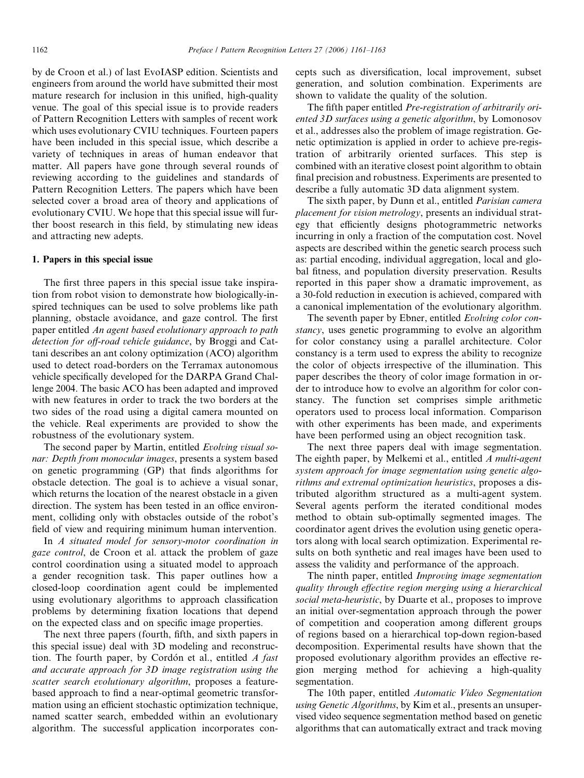by de Croon et al.) of last EvoIASP edition. Scientists and engineers from around the world have submitted their most mature research for inclusion in this unified, high-quality venue. The goal of this special issue is to provide readers of Pattern Recognition Letters with samples of recent work which uses evolutionary CVIU techniques. Fourteen papers have been included in this special issue, which describe a variety of techniques in areas of human endeavor that matter. All papers have gone through several rounds of reviewing according to the guidelines and standards of Pattern Recognition Letters. The papers which have been selected cover a broad area of theory and applications of evolutionary CVIU. We hope that this special issue will further boost research in this field, by stimulating new ideas and attracting new adepts.

### 1. Papers in this special issue

The first three papers in this special issue take inspiration from robot vision to demonstrate how biologically-inspired techniques can be used to solve problems like path planning, obstacle avoidance, and gaze control. The first paper entitled An agent based evolutionary approach to path detection for off-road vehicle guidance, by Broggi and Cattani describes an ant colony optimization (ACO) algorithm used to detect road-borders on the Terramax autonomous vehicle specifically developed for the DARPA Grand Challenge 2004. The basic ACO has been adapted and improved with new features in order to track the two borders at the two sides of the road using a digital camera mounted on the vehicle. Real experiments are provided to show the robustness of the evolutionary system.

The second paper by Martin, entitled Evolving visual sonar: Depth from monocular images, presents a system based on genetic programming (GP) that finds algorithms for obstacle detection. The goal is to achieve a visual sonar, which returns the location of the nearest obstacle in a given direction. The system has been tested in an office environment, colliding only with obstacles outside of the robot's field of view and requiring minimum human intervention.

In A situated model for sensory-motor coordination in gaze control, de Croon et al. attack the problem of gaze control coordination using a situated model to approach a gender recognition task. This paper outlines how a closed-loop coordination agent could be implemented using evolutionary algorithms to approach classification problems by determining fixation locations that depend on the expected class and on specific image properties.

The next three papers (fourth, fifth, and sixth papers in this special issue) deal with 3D modeling and reconstruction. The fourth paper, by Cordón et al., entitled  $\Lambda$  fast and accurate approach for 3D image registration using the scatter search evolutionary algorithm, proposes a featurebased approach to find a near-optimal geometric transformation using an efficient stochastic optimization technique, named scatter search, embedded within an evolutionary algorithm. The successful application incorporates concepts such as diversification, local improvement, subset generation, and solution combination. Experiments are shown to validate the quality of the solution.

The fifth paper entitled Pre-registration of arbitrarily oriented 3D surfaces using a genetic algorithm, by Lomonosov et al., addresses also the problem of image registration. Genetic optimization is applied in order to achieve pre-registration of arbitrarily oriented surfaces. This step is combined with an iterative closest point algorithm to obtain final precision and robustness. Experiments are presented to describe a fully automatic 3D data alignment system.

The sixth paper, by Dunn et al., entitled *Parisian camera* placement for vision metrology, presents an individual strategy that efficiently designs photogrammetric networks incurring in only a fraction of the computation cost. Novel aspects are described within the genetic search process such as: partial encoding, individual aggregation, local and global fitness, and population diversity preservation. Results reported in this paper show a dramatic improvement, as a 30-fold reduction in execution is achieved, compared with a canonical implementation of the evolutionary algorithm.

The seventh paper by Ebner, entitled Evolving color constancy, uses genetic programming to evolve an algorithm for color constancy using a parallel architecture. Color constancy is a term used to express the ability to recognize the color of objects irrespective of the illumination. This paper describes the theory of color image formation in order to introduce how to evolve an algorithm for color constancy. The function set comprises simple arithmetic operators used to process local information. Comparison with other experiments has been made, and experiments have been performed using an object recognition task.

The next three papers deal with image segmentation. The eighth paper, by Melkemi et al., entitled A multi-agent system approach for image segmentation using genetic algorithms and extremal optimization heuristics, proposes a distributed algorithm structured as a multi-agent system. Several agents perform the iterated conditional modes method to obtain sub-optimally segmented images. The coordinator agent drives the evolution using genetic operators along with local search optimization. Experimental results on both synthetic and real images have been used to assess the validity and performance of the approach.

The ninth paper, entitled Improving image segmentation quality through effective region merging using a hierarchical social meta-heuristic, by Duarte et al., proposes to improve an initial over-segmentation approach through the power of competition and cooperation among different groups of regions based on a hierarchical top-down region-based decomposition. Experimental results have shown that the proposed evolutionary algorithm provides an effective region merging method for achieving a high-quality segmentation.

The 10th paper, entitled Automatic Video Segmentation using Genetic Algorithms, by Kim et al., presents an unsupervised video sequence segmentation method based on genetic algorithms that can automatically extract and track moving